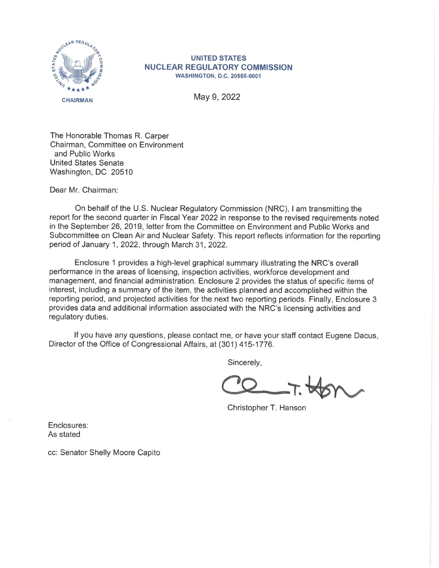

## **UNITED STATES NUCLEAR REGULATORY COMMISSION WASHINGTON, D.C. 20555-0001**

May 9, 2022

The Honorable Thomas R. Carper Chairman, Committee on Environment and Public Works United States Senate Washington, DC 20510

Dear Mr. Chairman:

On behalf of the U.S. Nuclear Regulatory Commission (NRC), I am transmitting the report for the second quarter in Fiscal Year 2022 in response to the revised requirements noted in the September 26, 2019, letter from the Committee on Environment and Public Works and Subcommittee on Clean Air and Nuclear Safety. This report reflects information for the reporting period of January 1, 2022, through March 31, 2022.

Enclosure 1 provides a high-level graphical summary illustrating the NRC's overall performance in the areas of licensing, inspection activities, workforce development and management, and financial administration. Enclosure 2 provides the status of specific items of interest, including a summary of the item, the activities planned and accomplished within the reporting period, and projected activities for the next two reporting periods. Finally, Enclosure 3 provides data and additional information associated with the NRC's licensing activities and regulatory duties.

If you have any questions. please contact me, or have your staff contact Eugene Dacus, Director of the Office of Congressional Affairs, at (301) 415-1776.

Sincerely,

 $\alpha$ **Q....\_.\_:;.**  <sup>~</sup>

Christopher T. Hanson

Enclosures: As stated

cc: Senator Shelly Moore Capito